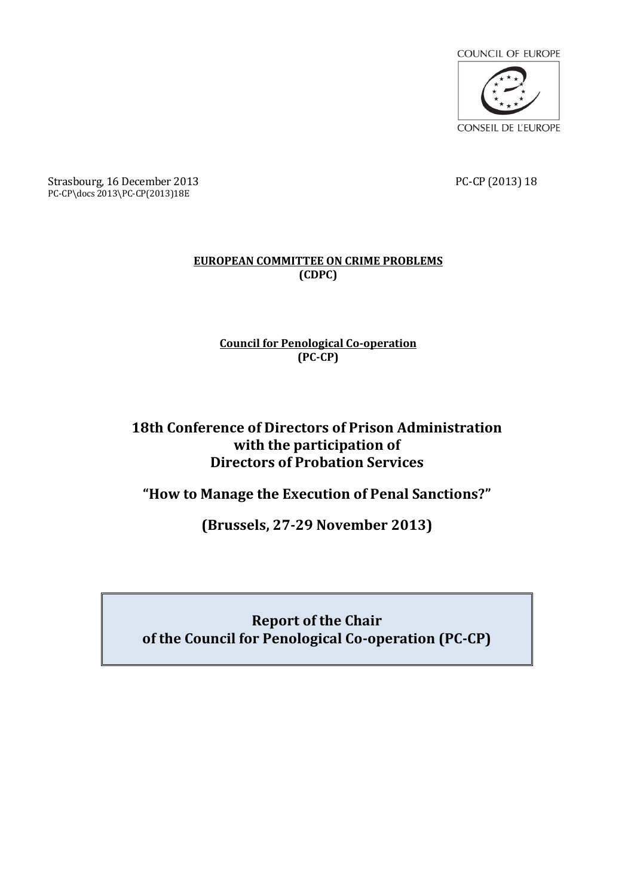

Strasbourg, 16 December 2013 2013 PC-CP (2013) 18 PC-CP\docs 2013\PC-CP(2013)18E

## **EUROPEAN COMMITTEE ON CRIME PROBLEMS (CDPC)**

## **Council for Penological Co-operation (PC-CP)**

## **18th Conference of Directors of Prison Administration with the participation of Directors of Probation Services**

**"How to Manage the Execution of Penal Sanctions?"**

**(Brussels, 27-29 November 2013)**

## **Report of the Chair of the Council for Penological Co-operation (PC-CP)**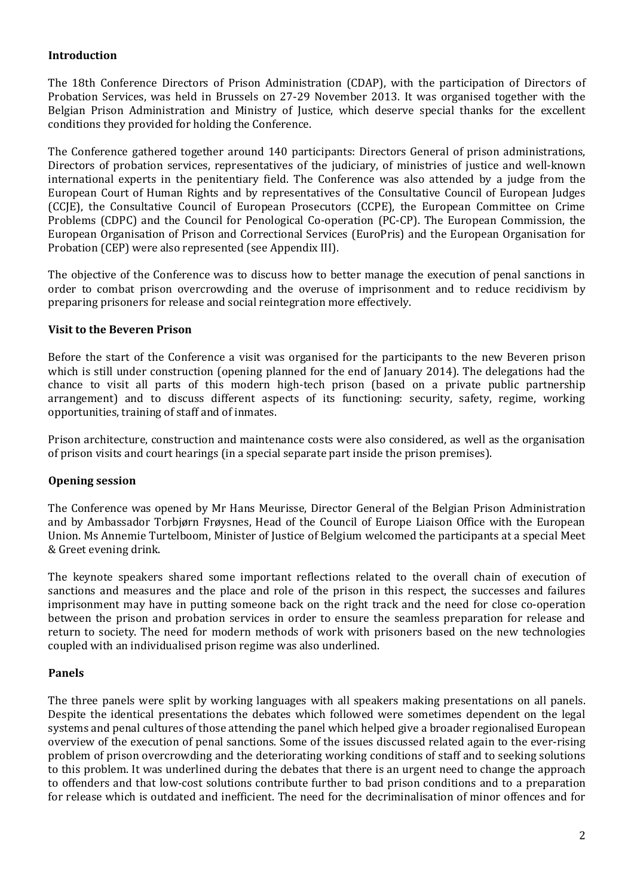## **Introduction**

The 18th Conference Directors of Prison Administration (CDAP), with the participation of Directors of Probation Services, was held in Brussels on 27-29 November 2013. It was organised together with the Belgian Prison Administration and Ministry of Justice, which deserve special thanks for the excellent conditions they provided for holding the Conference.

The Conference gathered together around 140 participants: Directors General of prison administrations, Directors of probation services, representatives of the judiciary, of ministries of justice and well-known international experts in the penitentiary field. The Conference was also attended by a judge from the European Court of Human Rights and by representatives of the Consultative Council of European Judges (CCJE), the Consultative Council of European Prosecutors (CCPE), the European Committee on Crime Problems (CDPC) and the Council for Penological Co-operation (PC-CP). The European Commission, the European Organisation of Prison and Correctional Services (EuroPris) and the European Organisation for Probation (CEP) were also represented (see Appendix III).

The objective of the Conference was to discuss how to better manage the execution of penal sanctions in order to combat prison overcrowding and the overuse of imprisonment and to reduce recidivism by preparing prisoners for release and social reintegration more effectively.

#### **Visit to the Beveren Prison**

Before the start of the Conference a visit was organised for the participants to the new Beveren prison which is still under construction (opening planned for the end of January 2014). The delegations had the chance to visit all parts of this modern high-tech prison (based on a private public partnership arrangement) and to discuss different aspects of its functioning: security, safety, regime, working opportunities, training of staff and of inmates.

Prison architecture, construction and maintenance costs were also considered, as well as the organisation of prison visits and court hearings (in a special separate part inside the prison premises).

#### **Opening session**

The Conference was opened by Mr Hans Meurisse, Director General of the Belgian Prison Administration and by Ambassador Torbjørn Frøysnes, Head of the Council of Europe Liaison Office with the European Union. Ms Annemie Turtelboom, Minister of Justice of Belgium welcomed the participants at a special Meet & Greet evening drink.

The keynote speakers shared some important reflections related to the overall chain of execution of sanctions and measures and the place and role of the prison in this respect, the successes and failures imprisonment may have in putting someone back on the right track and the need for close co-operation between the prison and probation services in order to ensure the seamless preparation for release and return to society. The need for modern methods of work with prisoners based on the new technologies coupled with an individualised prison regime was also underlined.

#### **Panels**

The three panels were split by working languages with all speakers making presentations on all panels. Despite the identical presentations the debates which followed were sometimes dependent on the legal systems and penal cultures of those attending the panel which helped give a broader regionalised European overview of the execution of penal sanctions. Some of the issues discussed related again to the ever-rising problem of prison overcrowding and the deteriorating working conditions of staff and to seeking solutions to this problem. It was underlined during the debates that there is an urgent need to change the approach to offenders and that low-cost solutions contribute further to bad prison conditions and to a preparation for release which is outdated and inefficient. The need for the decriminalisation of minor offences and for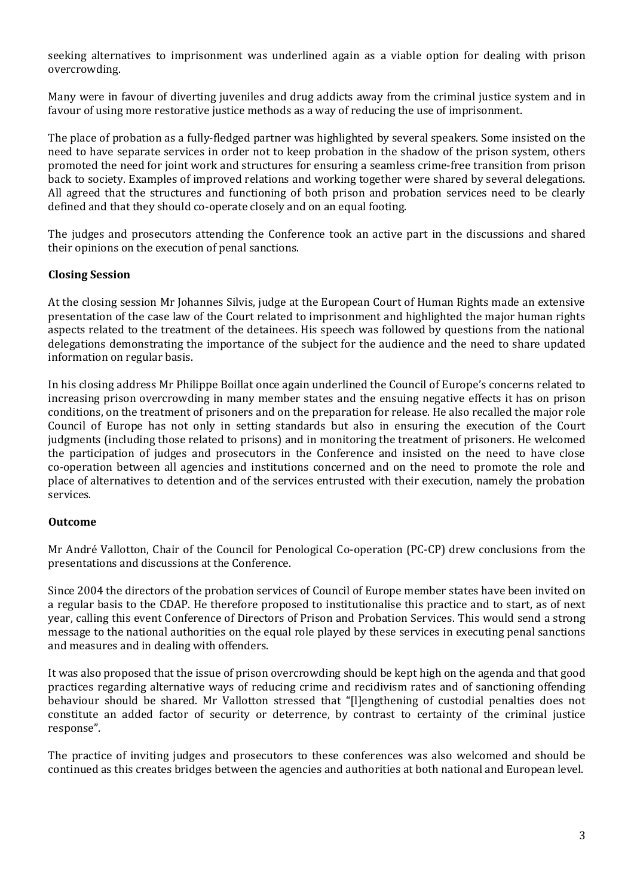seeking alternatives to imprisonment was underlined again as a viable option for dealing with prison overcrowding.

Many were in favour of diverting juveniles and drug addicts away from the criminal justice system and in favour of using more restorative justice methods as a way of reducing the use of imprisonment.

The place of probation as a fully-fledged partner was highlighted by several speakers. Some insisted on the need to have separate services in order not to keep probation in the shadow of the prison system, others promoted the need for joint work and structures for ensuring a seamless crime-free transition from prison back to society. Examples of improved relations and working together were shared by several delegations. All agreed that the structures and functioning of both prison and probation services need to be clearly defined and that they should co-operate closely and on an equal footing.

The judges and prosecutors attending the Conference took an active part in the discussions and shared their opinions on the execution of penal sanctions.

#### **Closing Session**

At the closing session Mr Johannes Silvis, judge at the European Court of Human Rights made an extensive presentation of the case law of the Court related to imprisonment and highlighted the major human rights aspects related to the treatment of the detainees. His speech was followed by questions from the national delegations demonstrating the importance of the subject for the audience and the need to share updated information on regular basis.

In his closing address Mr Philippe Boillat once again underlined the Council of Europe's concerns related to increasing prison overcrowding in many member states and the ensuing negative effects it has on prison conditions, on the treatment of prisoners and on the preparation for release. He also recalled the major role Council of Europe has not only in setting standards but also in ensuring the execution of the Court judgments (including those related to prisons) and in monitoring the treatment of prisoners. He welcomed the participation of judges and prosecutors in the Conference and insisted on the need to have close co-operation between all agencies and institutions concerned and on the need to promote the role and place of alternatives to detention and of the services entrusted with their execution, namely the probation services.

#### **Outcome**

Mr André Vallotton, Chair of the Council for Penological Co-operation (PC-CP) drew conclusions from the presentations and discussions at the Conference.

Since 2004 the directors of the probation services of Council of Europe member states have been invited on a regular basis to the CDAP. He therefore proposed to institutionalise this practice and to start, as of next year, calling this event Conference of Directors of Prison and Probation Services. This would send a strong message to the national authorities on the equal role played by these services in executing penal sanctions and measures and in dealing with offenders.

It was also proposed that the issue of prison overcrowding should be kept high on the agenda and that good practices regarding alternative ways of reducing crime and recidivism rates and of sanctioning offending behaviour should be shared. Mr Vallotton stressed that "[l]engthening of custodial penalties does not constitute an added factor of security or deterrence, by contrast to certainty of the criminal justice response".

The practice of inviting judges and prosecutors to these conferences was also welcomed and should be continued as this creates bridges between the agencies and authorities at both national and European level.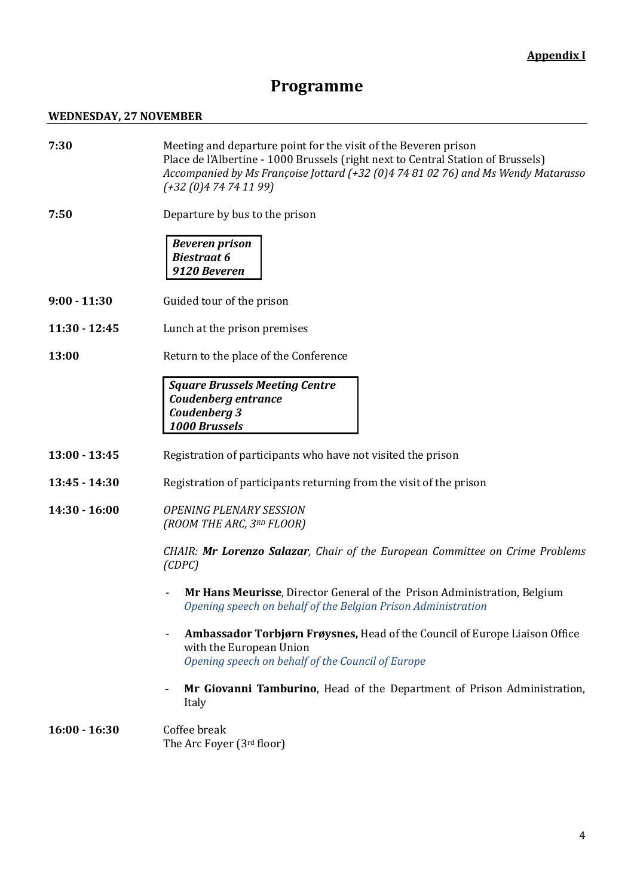# **Programme**

## **WEDNESDAY, 27 NOVEMBER**

| 7:30            | Meeting and departure point for the visit of the Beveren prison<br>Place de l'Albertine - 1000 Brussels (right next to Central Station of Brussels)<br>Accompanied by Ms Françoise Jottard (+32 (0)4 74 81 02 76) and Ms Wendy Matarasso<br>$(+32(0)474741199)$ |  |  |  |
|-----------------|-----------------------------------------------------------------------------------------------------------------------------------------------------------------------------------------------------------------------------------------------------------------|--|--|--|
| 7:50            | Departure by bus to the prison                                                                                                                                                                                                                                  |  |  |  |
|                 | <b>Beveren prison</b><br><b>Biestraat 6</b><br>9120 Beveren                                                                                                                                                                                                     |  |  |  |
| $9:00 - 11:30$  | Guided tour of the prison                                                                                                                                                                                                                                       |  |  |  |
| $11:30 - 12:45$ | Lunch at the prison premises                                                                                                                                                                                                                                    |  |  |  |
| 13:00           | Return to the place of the Conference                                                                                                                                                                                                                           |  |  |  |
|                 | <b>Square Brussels Meeting Centre</b><br>Coudenberg entrance<br>Coudenberg 3<br><b>1000 Brussels</b>                                                                                                                                                            |  |  |  |
| $13:00 - 13:45$ | Registration of participants who have not visited the prison                                                                                                                                                                                                    |  |  |  |
| $13:45 - 14:30$ | Registration of participants returning from the visit of the prison                                                                                                                                                                                             |  |  |  |
| $14:30 - 16:00$ | <b>OPENING PLENARY SESSION</b><br>(ROOM THE ARC, 3RD FLOOR)                                                                                                                                                                                                     |  |  |  |
|                 | CHAIR: Mr Lorenzo Salazar, Chair of the European Committee on Crime Problems<br>(CDPC)                                                                                                                                                                          |  |  |  |
|                 | Mr Hans Meurisse, Director General of the Prison Administration, Belgium<br>Opening speech on behalf of the Belgian Prison Administration                                                                                                                       |  |  |  |
|                 | Ambassador Torbjørn Frøysnes, Head of the Council of Europe Liaison Office<br>with the European Union<br>Opening speech on behalf of the Council of Europe                                                                                                      |  |  |  |
|                 | Mr Giovanni Tamburino, Head of the Department of Prison Administration,<br>$\overline{a}$<br>Italy                                                                                                                                                              |  |  |  |
| $16:00 - 16:30$ | Coffee break<br>The Arc Foyer (3rd floor)                                                                                                                                                                                                                       |  |  |  |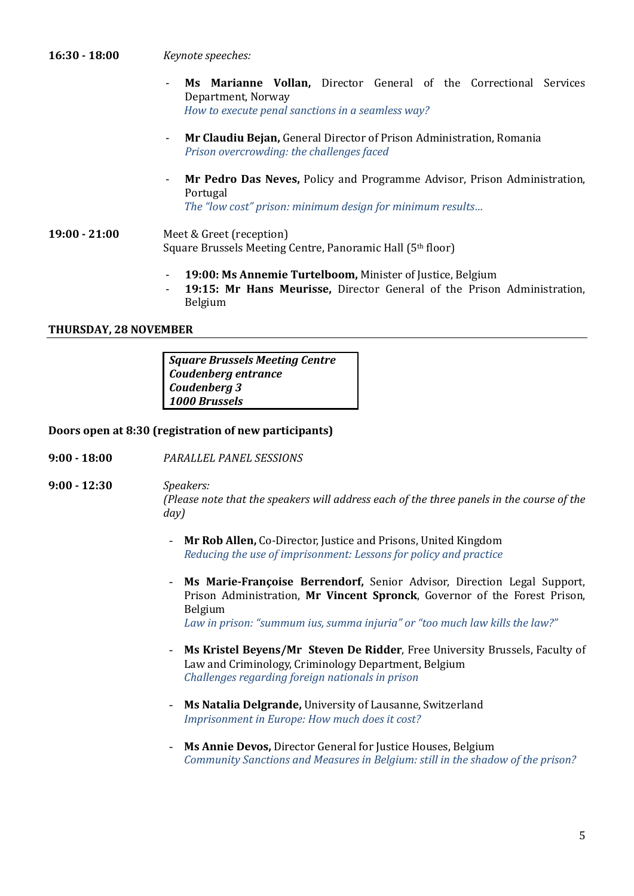#### **16:30 - 18:00** *Keynote speeches:*

- Ms Marianne Vollan, Director General of the Correctional Services Department, Norway *How to execute penal sanctions in a seamless way?*
- **Mr Claudiu Bejan,** General Director of Prison Administration, Romania *Prison overcrowding: the challenges faced*
- **Mr Pedro Das Neves,** Policy and Programme Advisor, Prison Administration, Portugal

*The "low cost" prison: minimum design for minimum results…*

- **19:00 - 21:00** Meet & Greet (reception) Square Brussels Meeting Centre, Panoramic Hall (5th floor)
	- **19:00: Ms Annemie Turtelboom,** Minister of Justice, Belgium
	- **19:15: Mr Hans Meurisse,** Director General of the Prison Administration, Belgium

#### **THURSDAY, 28 NOVEMBER**

*Square Brussels Meeting Centre Coudenberg entrance Coudenberg 3 1000 Brussels* 

#### **Doors open at 8:30 (registration of new participants)**

- **9:00 - 18:00** *PARALLEL PANEL SESSIONS*
- **9:00 - 12:30** *Speakers: (Please note that the speakers will address each of the three panels in the course of the day)*
	- **Mr Rob Allen,** Co-Director, Justice and Prisons, United Kingdom *Reducing the use of imprisonment: Lessons for policy and practice*
	- **Ms Marie-Françoise Berrendorf,** Senior Advisor, Direction Legal Support, Prison Administration, **Mr Vincent Spronck**, Governor of the Forest Prison, Belgium *Law in prison: "summum ius, summa injuria" or "too much law kills the law?"*
		-
	- **Ms Kristel Beyens/Mr Steven De Ridder**, Free University Brussels, Faculty of Law and Criminology, Criminology Department, Belgium *Challenges regarding foreign nationals in prison*
	- **Ms Natalia Delgrande,** University of Lausanne, Switzerland *Imprisonment in Europe: How much does it cost?*
	- **Ms Annie Devos,** Director General for Justice Houses, Belgium *Community Sanctions and Measures in Belgium: still in the shadow of the prison?*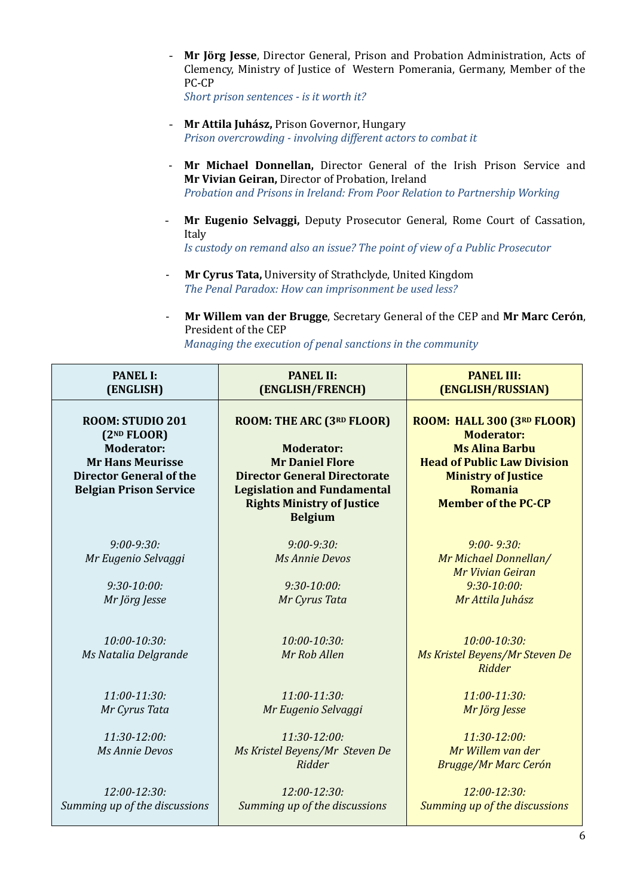- **Mr Jörg Jesse**, Director General, Prison and Probation Administration, Acts of Clemency, Ministry of Justice of Western Pomerania, Germany, Member of the PC-CP

*Short prison sentences - is it worth it?*

- **Mr Attila Juhász,** Prison Governor, Hungary *Prison overcrowding - involving different actors to combat it*
- **Mr Michael Donnellan,** Director General of the Irish Prison Service and **Mr Vivian Geiran,** Director of Probation, Ireland *Probation and Prisons in Ireland: From Poor Relation to Partnership Working*
- **Mr Eugenio Selvaggi,** Deputy Prosecutor General, Rome Court of Cassation, Italy

*Is custody on remand also an issue? The point of view of a Public Prosecutor*

- **Mr Cyrus Tata,** University of Strathclyde, United Kingdom *The Penal Paradox: How can imprisonment be used less?*
- **Mr Willem van der Brugge**, Secretary General of the CEP and **Mr Marc Cerón**, President of the CEP *Managing the execution of penal sanctions in the community*

| <b>PANEL I:</b><br>(ENGLISH)                                                                                                                                   | <b>PANEL II:</b><br>(ENGLISH/FRENCH)                                                                                                                                                                         | <b>PANEL III:</b><br>(ENGLISH/RUSSIAN)                                                                                                                                                |
|----------------------------------------------------------------------------------------------------------------------------------------------------------------|--------------------------------------------------------------------------------------------------------------------------------------------------------------------------------------------------------------|---------------------------------------------------------------------------------------------------------------------------------------------------------------------------------------|
| ROOM: STUDIO 201<br>(2 <sup>ND</sup> FLOOR)<br><b>Moderator:</b><br><b>Mr Hans Meurisse</b><br><b>Director General of the</b><br><b>Belgian Prison Service</b> | ROOM: THE ARC (3RD FLOOR)<br><b>Moderator:</b><br><b>Mr Daniel Flore</b><br><b>Director General Directorate</b><br><b>Legislation and Fundamental</b><br><b>Rights Ministry of Justice</b><br><b>Belgium</b> | ROOM: HALL 300 (3RD FLOOR)<br><b>Moderator:</b><br><b>Ms Alina Barbu</b><br><b>Head of Public Law Division</b><br><b>Ministry of Justice</b><br>Romania<br><b>Member of the PC-CP</b> |
| $9:00 - 9:30:$<br>Mr Eugenio Selvaggi<br>$9:30-10:00:$<br>Mr Jörg Jesse                                                                                        | $9:00 - 9:30:$<br><b>Ms Annie Devos</b><br>$9:30-10:00:$<br>Mr Cyrus Tata                                                                                                                                    | $9:00 - 9:30:$<br>Mr Michael Donnellan/<br>Mr Vivian Geiran<br>$9:30-10:00:$<br>Mr Attila Juhász                                                                                      |
| 10:00-10:30:<br>Ms Natalia Delgrande                                                                                                                           | 10:00-10:30:<br>Mr Rob Allen                                                                                                                                                                                 | 10:00-10:30:<br>Ms Kristel Beyens/Mr Steven De<br>Ridder                                                                                                                              |
| $11:00-11:30:$<br>Mr Cyrus Tata                                                                                                                                | $11:00-11:30:$<br>Mr Eugenio Selvaggi                                                                                                                                                                        | $11:00-11:30:$<br>Mr Jörg Jesse                                                                                                                                                       |
| 11:30-12:00:<br>Ms Annie Devos                                                                                                                                 | 11:30-12:00:<br>Ms Kristel Beyens/Mr Steven De<br>Ridder                                                                                                                                                     | 11:30-12:00:<br>Mr Willem van der<br><b>Brugge/Mr Marc Cerón</b>                                                                                                                      |
| $12:00 - 12:30:$<br>Summing up of the discussions                                                                                                              | 12:00-12:30:<br>Summing up of the discussions                                                                                                                                                                | 12:00-12:30:<br>Summing up of the discussions                                                                                                                                         |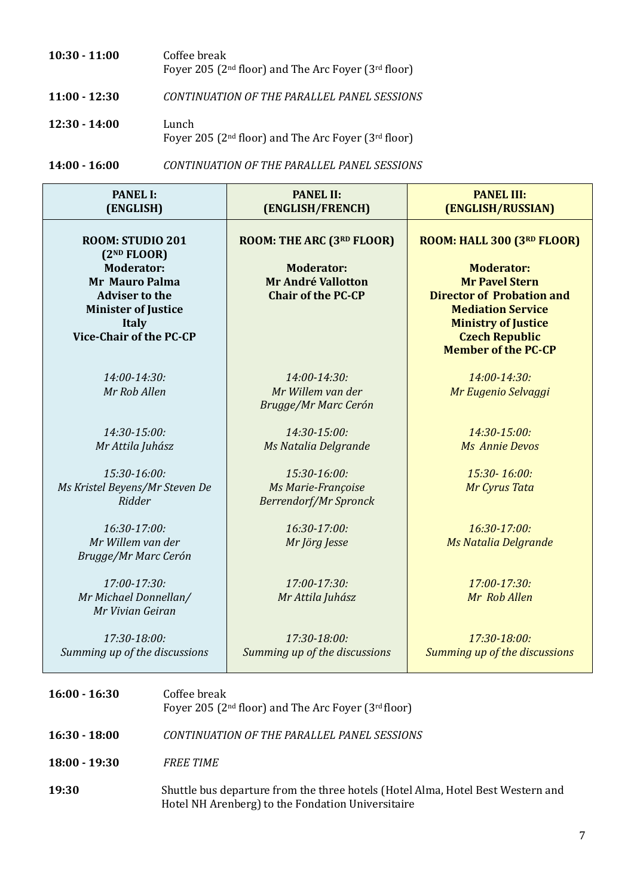| $10:30 - 11:00$ | Coffee break                                              |
|-----------------|-----------------------------------------------------------|
|                 | Foyer 205 ( $2nd$ floor) and The Arc Foyer ( $3rd$ floor) |
|                 |                                                           |

**11:00 - 12:30** *CONTINUATION OF THE PARALLEL PANEL SESSIONS*

**12:30 - 14:00** Lunch Foyer 205 (2nd floor) and The Arc Foyer (3rd floor)

**14:00 - 16:00** *CONTINUATION OF THE PARALLEL PANEL SESSIONS*

| <b>PANEL I:</b><br>(ENGLISH)                                                                                                                                                                       | <b>PANEL II:</b><br>(ENGLISH/FRENCH)                                                                     | <b>PANEL III:</b><br>(ENGLISH/RUSSIAN)                                                                                                                                                                                        |  |  |
|----------------------------------------------------------------------------------------------------------------------------------------------------------------------------------------------------|----------------------------------------------------------------------------------------------------------|-------------------------------------------------------------------------------------------------------------------------------------------------------------------------------------------------------------------------------|--|--|
| ROOM: STUDIO 201<br>(2 <sup>ND</sup> FLOOR)<br><b>Moderator:</b><br><b>Mr Mauro Palma</b><br><b>Adviser to the</b><br><b>Minister of Justice</b><br><b>Italy</b><br><b>Vice-Chair of the PC-CP</b> | ROOM: THE ARC (3RD FLOOR)<br><b>Moderator:</b><br><b>Mr André Vallotton</b><br><b>Chair of the PC-CP</b> | ROOM: HALL 300 (3RD FLOOR)<br><b>Moderator:</b><br><b>Mr Pavel Stern</b><br><b>Director of Probation and</b><br><b>Mediation Service</b><br><b>Ministry of Justice</b><br><b>Czech Republic</b><br><b>Member of the PC-CP</b> |  |  |
| 14:00-14:30:<br>Mr Rob Allen                                                                                                                                                                       | 14:00-14:30:<br>Mr Willem van der<br>Brugge/Mr Marc Cerón                                                | 14:00-14:30:<br>Mr Eugenio Selvaggi                                                                                                                                                                                           |  |  |
| 14:30-15:00:<br>Mr Attila Juhász                                                                                                                                                                   | 14:30-15:00:<br>Ms Natalia Delgrande                                                                     | 14:30-15:00:<br><b>Ms Annie Devos</b>                                                                                                                                                                                         |  |  |
| 15:30-16:00:<br>Ms Kristel Beyens/Mr Steven De<br>Ridder                                                                                                                                           | 15:30-16:00:<br>Ms Marie-Françoise<br><b>Berrendorf/Mr Spronck</b>                                       | 15:30-16:00:<br>Mr Cyrus Tata                                                                                                                                                                                                 |  |  |
| 16:30-17:00:<br>Mr Willem van der<br>Brugge/Mr Marc Cerón                                                                                                                                          | 16:30-17:00:<br>Mr Jörg Jesse                                                                            | 16:30-17:00:<br>Ms Natalia Delgrande                                                                                                                                                                                          |  |  |
| 17:00-17:30:<br>Mr Michael Donnellan/<br>Mr Vivian Geiran                                                                                                                                          | 17:00-17:30:<br>Mr Attila Juhász                                                                         | 17:00-17:30:<br>Mr Rob Allen                                                                                                                                                                                                  |  |  |
| $17:30-18:00:$<br>Summing up of the discussions                                                                                                                                                    | 17:30-18:00:<br>Summing up of the discussions                                                            | 17:30-18:00:<br>Summing up of the discussions                                                                                                                                                                                 |  |  |
| $16:00 - 16:30$                                                                                                                                                                                    | Coffee break<br>Foyer 205 (2 <sup>nd</sup> floor) and The Arc Foyer (3 <sup>rd</sup> floor)              |                                                                                                                                                                                                                               |  |  |
| $16:30 - 18:00$                                                                                                                                                                                    | CONTINUATION OF THE PARALLEL PANEL SESSIONS                                                              |                                                                                                                                                                                                                               |  |  |
| $18:00 - 19:30$<br><b>FREE TIME</b>                                                                                                                                                                |                                                                                                          |                                                                                                                                                                                                                               |  |  |
| 19:30                                                                                                                                                                                              | Shuttle bus departure from the three hotels (Hotel Alma, Hotel Best Western and                          |                                                                                                                                                                                                                               |  |  |

Hotel NH Arenberg) to the Fondation Universitaire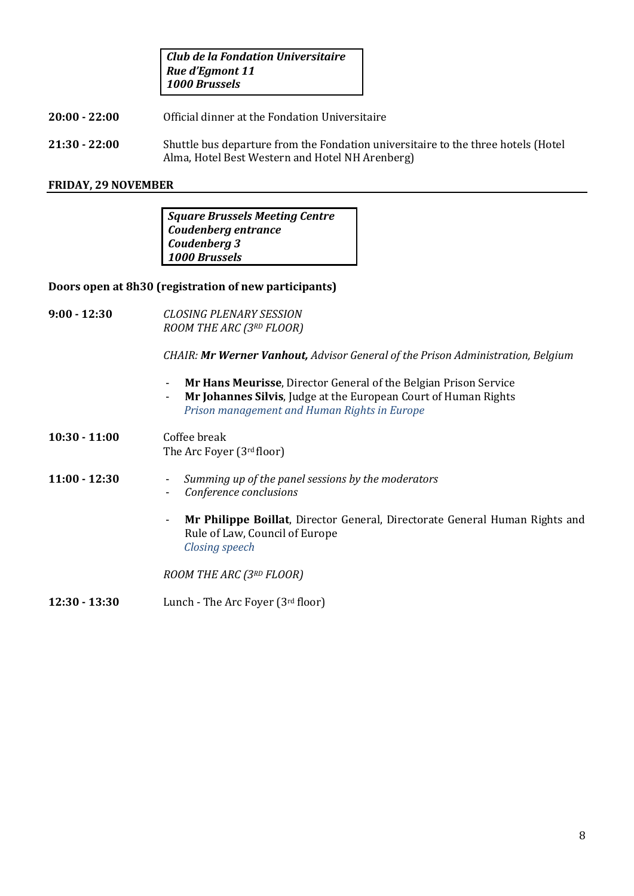*Club de la Fondation Universitaire Rue d'Egmont 11 1000 Brussels*

- **20:00 - 22:00** Official dinner at the Fondation Universitaire
- **21:30 - 22:00** Shuttle bus departure from the Fondation universitaire to the three hotels (Hotel Alma, Hotel Best Western and Hotel NH Arenberg)

#### **FRIDAY, 29 NOVEMBER**

*Square Brussels Meeting Centre Coudenberg entrance Coudenberg 3 1000 Brussels* 

#### **Doors open at 8h30 (registration of new participants)**

**9:00 - 12:30** *CLOSING PLENARY SESSION ROOM THE ARC (3RD FLOOR)*

*CHAIR: Mr Werner Vanhout, Advisor General of the Prison Administration, Belgium*

- **Mr Hans Meurisse**, Director General of the Belgian Prison Service
- **Mr Johannes Silvis**, Judge at the European Court of Human Rights *Prison management and Human Rights in Europe*
- **10:30 - 11:00** Coffee break The Arc Foyer (3rd floor)
- **11:00 - 12:30** *Summing up of the panel sessions by the moderators*
	- *Conference conclusions*
	- **Mr Philippe Boillat**, Director General, Directorate General Human Rights and Rule of Law, Council of Europe *Closing speech*

*ROOM THE ARC (3RD FLOOR)*

**12:30 - 13:30** Lunch - The Arc Foyer (3rd floor)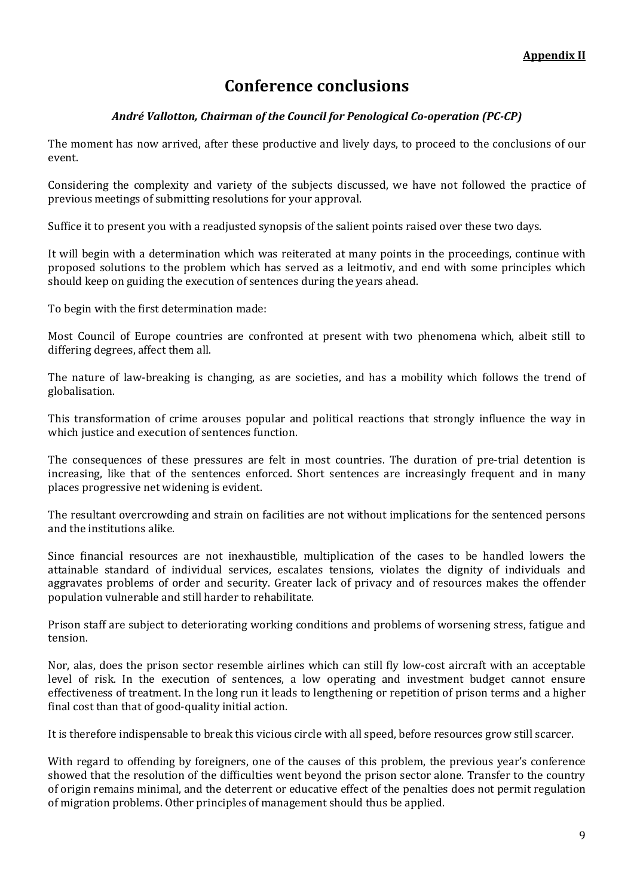## **Conference conclusions**

## *André Vallotton, Chairman of the Council for Penological Co-operation (PC-CP)*

The moment has now arrived, after these productive and lively days, to proceed to the conclusions of our event.

Considering the complexity and variety of the subjects discussed, we have not followed the practice of previous meetings of submitting resolutions for your approval.

Suffice it to present you with a readjusted synopsis of the salient points raised over these two days.

It will begin with a determination which was reiterated at many points in the proceedings, continue with proposed solutions to the problem which has served as a leitmotiv, and end with some principles which should keep on guiding the execution of sentences during the years ahead.

To begin with the first determination made:

Most Council of Europe countries are confronted at present with two phenomena which, albeit still to differing degrees, affect them all.

The nature of law-breaking is changing, as are societies, and has a mobility which follows the trend of globalisation.

This transformation of crime arouses popular and political reactions that strongly influence the way in which justice and execution of sentences function.

The consequences of these pressures are felt in most countries. The duration of pre-trial detention is increasing, like that of the sentences enforced. Short sentences are increasingly frequent and in many places progressive net widening is evident.

The resultant overcrowding and strain on facilities are not without implications for the sentenced persons and the institutions alike.

Since financial resources are not inexhaustible, multiplication of the cases to be handled lowers the attainable standard of individual services, escalates tensions, violates the dignity of individuals and aggravates problems of order and security. Greater lack of privacy and of resources makes the offender population vulnerable and still harder to rehabilitate.

Prison staff are subject to deteriorating working conditions and problems of worsening stress, fatigue and tension.

Nor, alas, does the prison sector resemble airlines which can still fly low-cost aircraft with an acceptable level of risk. In the execution of sentences, a low operating and investment budget cannot ensure effectiveness of treatment. In the long run it leads to lengthening or repetition of prison terms and a higher final cost than that of good-quality initial action.

It is therefore indispensable to break this vicious circle with all speed, before resources grow still scarcer.

With regard to offending by foreigners, one of the causes of this problem, the previous year's conference showed that the resolution of the difficulties went beyond the prison sector alone. Transfer to the country of origin remains minimal, and the deterrent or educative effect of the penalties does not permit regulation of migration problems. Other principles of management should thus be applied.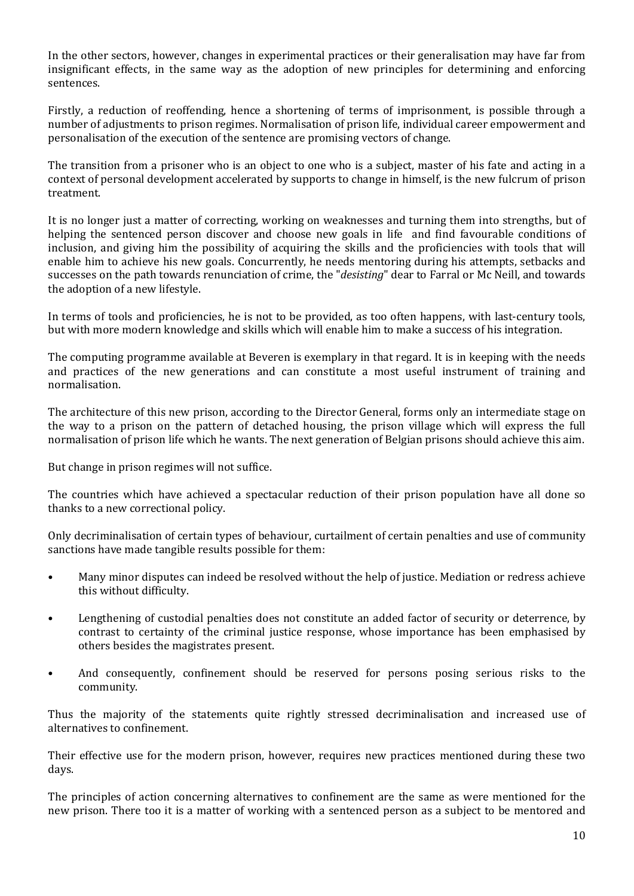In the other sectors, however, changes in experimental practices or their generalisation may have far from insignificant effects, in the same way as the adoption of new principles for determining and enforcing sentences.

Firstly, a reduction of reoffending, hence a shortening of terms of imprisonment, is possible through a number of adjustments to prison regimes. Normalisation of prison life, individual career empowerment and personalisation of the execution of the sentence are promising vectors of change.

The transition from a prisoner who is an object to one who is a subject, master of his fate and acting in a context of personal development accelerated by supports to change in himself, is the new fulcrum of prison treatment.

It is no longer just a matter of correcting, working on weaknesses and turning them into strengths, but of helping the sentenced person discover and choose new goals in life and find favourable conditions of inclusion, and giving him the possibility of acquiring the skills and the proficiencies with tools that will enable him to achieve his new goals. Concurrently, he needs mentoring during his attempts, setbacks and successes on the path towards renunciation of crime, the "*desisting*" dear to Farral or Mc Neill, and towards the adoption of a new lifestyle.

In terms of tools and proficiencies, he is not to be provided, as too often happens, with last-century tools, but with more modern knowledge and skills which will enable him to make a success of his integration.

The computing programme available at Beveren is exemplary in that regard. It is in keeping with the needs and practices of the new generations and can constitute a most useful instrument of training and normalisation.

The architecture of this new prison, according to the Director General, forms only an intermediate stage on the way to a prison on the pattern of detached housing, the prison village which will express the full normalisation of prison life which he wants. The next generation of Belgian prisons should achieve this aim.

But change in prison regimes will not suffice.

The countries which have achieved a spectacular reduction of their prison population have all done so thanks to a new correctional policy.

Only decriminalisation of certain types of behaviour, curtailment of certain penalties and use of community sanctions have made tangible results possible for them:

- Many minor disputes can indeed be resolved without the help of justice. Mediation or redress achieve this without difficulty.
- Lengthening of custodial penalties does not constitute an added factor of security or deterrence, by contrast to certainty of the criminal justice response, whose importance has been emphasised by others besides the magistrates present.
- And consequently, confinement should be reserved for persons posing serious risks to the community.

Thus the majority of the statements quite rightly stressed decriminalisation and increased use of alternatives to confinement.

Their effective use for the modern prison, however, requires new practices mentioned during these two days.

The principles of action concerning alternatives to confinement are the same as were mentioned for the new prison. There too it is a matter of working with a sentenced person as a subject to be mentored and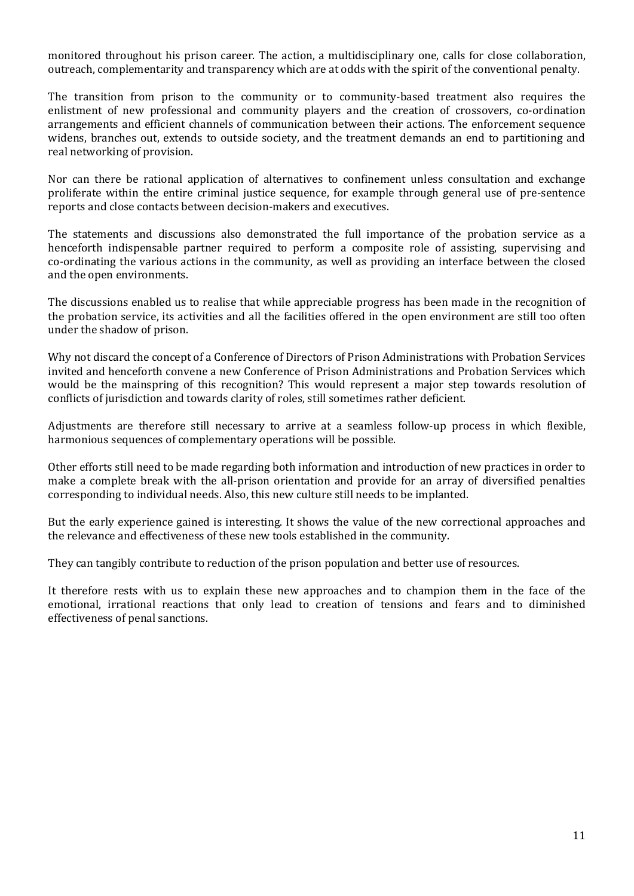monitored throughout his prison career. The action, a multidisciplinary one, calls for close collaboration, outreach, complementarity and transparency which are at odds with the spirit of the conventional penalty.

The transition from prison to the community or to community-based treatment also requires the enlistment of new professional and community players and the creation of crossovers, co-ordination arrangements and efficient channels of communication between their actions. The enforcement sequence widens, branches out, extends to outside society, and the treatment demands an end to partitioning and real networking of provision.

Nor can there be rational application of alternatives to confinement unless consultation and exchange proliferate within the entire criminal justice sequence, for example through general use of pre-sentence reports and close contacts between decision-makers and executives.

The statements and discussions also demonstrated the full importance of the probation service as a henceforth indispensable partner required to perform a composite role of assisting, supervising and co-ordinating the various actions in the community, as well as providing an interface between the closed and the open environments.

The discussions enabled us to realise that while appreciable progress has been made in the recognition of the probation service, its activities and all the facilities offered in the open environment are still too often under the shadow of prison.

Why not discard the concept of a Conference of Directors of Prison Administrations with Probation Services invited and henceforth convene a new Conference of Prison Administrations and Probation Services which would be the mainspring of this recognition? This would represent a major step towards resolution of conflicts of jurisdiction and towards clarity of roles, still sometimes rather deficient.

Adjustments are therefore still necessary to arrive at a seamless follow-up process in which flexible, harmonious sequences of complementary operations will be possible.

Other efforts still need to be made regarding both information and introduction of new practices in order to make a complete break with the all-prison orientation and provide for an array of diversified penalties corresponding to individual needs. Also, this new culture still needs to be implanted.

But the early experience gained is interesting. It shows the value of the new correctional approaches and the relevance and effectiveness of these new tools established in the community.

They can tangibly contribute to reduction of the prison population and better use of resources.

It therefore rests with us to explain these new approaches and to champion them in the face of the emotional, irrational reactions that only lead to creation of tensions and fears and to diminished effectiveness of penal sanctions.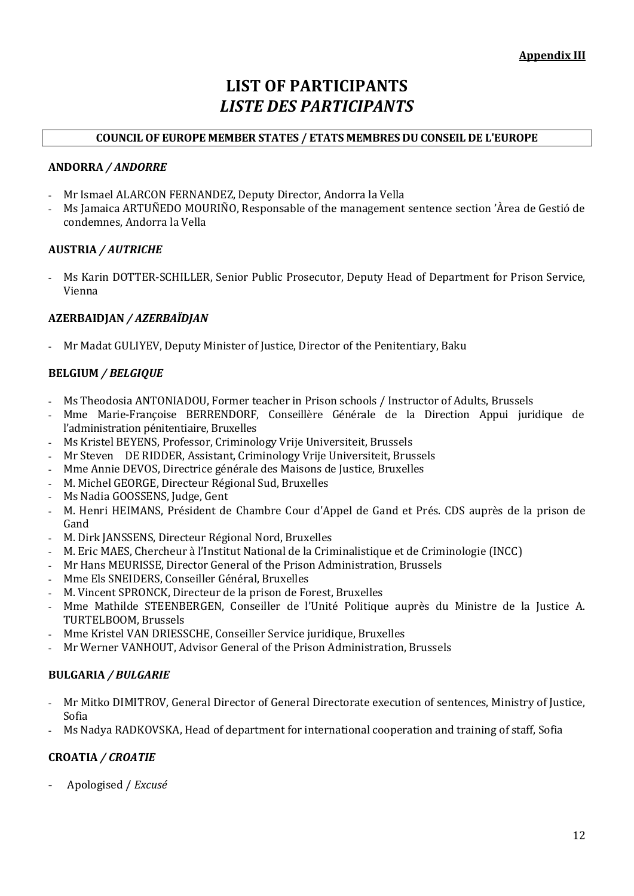## **LIST OF PARTICIPANTS** *LISTE DES PARTICIPANTS*

## **COUNCIL OF EUROPE MEMBER STATES / ETATS MEMBRES DU CONSEIL DE L'EUROPE**

#### **ANDORRA** */ ANDORRE*

- Mr Ismael ALARCON FERNANDEZ, Deputy Director, Andorra la Vella
- Ms Jamaica ARTUÑEDO MOURIÑO, Responsable of the management sentence section 'Àrea de Gestió de condemnes, Andorra la Vella

#### **AUSTRIA** */ AUTRICHE*

- Ms Karin DOTTER-SCHILLER, Senior Public Prosecutor, Deputy Head of Department for Prison Service, Vienna

## **AZERBAIDJAN** */ AZERBAÏDJAN*

- Mr Madat GULIYEV, Deputy Minister of Justice, Director of the Penitentiary, Baku

## **BELGIUM** */ BELGIQUE*

- Ms Theodosia ANTONIADOU, Former teacher in Prison schools / Instructor of Adults, Brussels
- Mme Marie-Françoise BERRENDORF, Conseillère Générale de la Direction Appui juridique de l'administration pénitentiaire, Bruxelles
- Ms Kristel BEYENS, Professor, Criminology Vrije Universiteit, Brussels
- Mr Steven DE RIDDER, Assistant, Criminology Vrije Universiteit, Brussels
- Mme Annie DEVOS, Directrice générale des Maisons de Justice, Bruxelles
- M. Michel GEORGE, Directeur Régional Sud, Bruxelles
- Ms Nadia GOOSSENS, Judge, Gent
- M. Henri HEIMANS, Président de Chambre Cour d'Appel de Gand et Prés. CDS auprès de la prison de Gand
- M. Dirk JANSSENS, Directeur Régional Nord, Bruxelles
- M. Eric MAES, Chercheur à l'Institut National de la Criminalistique et de Criminologie (INCC)
- Mr Hans MEURISSE, Director General of the Prison Administration, Brussels
- Mme Els SNEIDERS, Conseiller Général, Bruxelles
- M. Vincent SPRONCK, Directeur de la prison de Forest, Bruxelles
- Mme Mathilde STEENBERGEN, Conseiller de l'Unité Politique auprès du Ministre de la Justice A. TURTELBOOM, Brussels
- Mme Kristel VAN DRIESSCHE, Conseiller Service juridique, Bruxelles
- Mr Werner VANHOUT, Advisor General of the Prison Administration, Brussels

#### **BULGARIA** */ BULGARIE*

- Mr Mitko DIMITROV, General Director of General Directorate execution of sentences, Ministry of Justice, Sofia
- Ms Nadya RADKOVSKA, Head of department for international cooperation and training of staff, Sofia

#### **CROATIA** */ CROATIE*

- Apologised / *Excusé*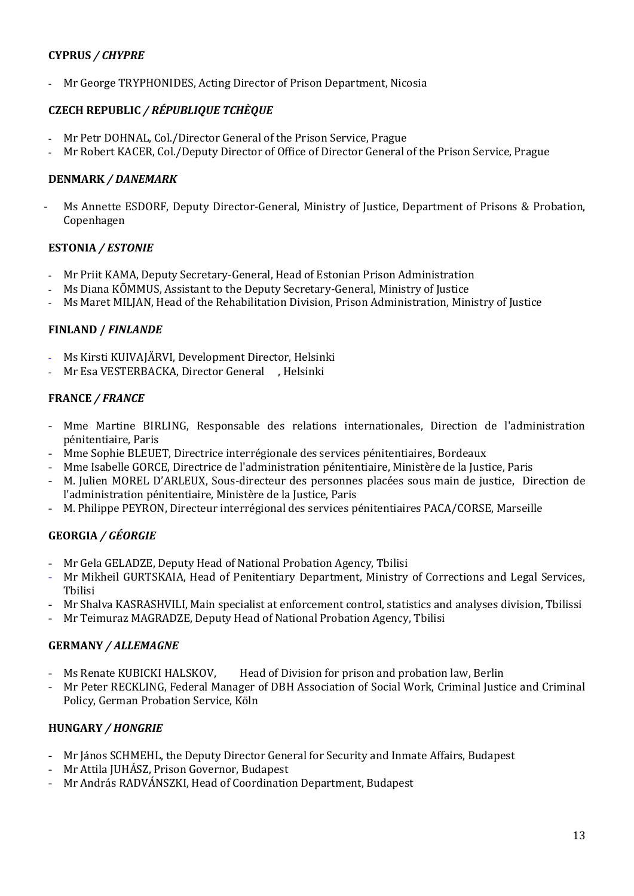## **CYPRUS** */ CHYPRE*

Mr George TRYPHONIDES, Acting Director of Prison Department, Nicosia

## **CZECH REPUBLIC** */ RÉPUBLIQUE TCHÈQUE*

- Mr Petr DOHNAL, Col./Director General of the Prison Service, Prague
- Mr Robert KACER, Col./Deputy Director of Office of Director General of the Prison Service, Prague

#### **DENMARK** */ DANEMARK*

Ms Annette ESDORF, Deputy Director-General, Ministry of Justice, Department of Prisons & Probation, Copenhagen

#### **ESTONIA** */ ESTONIE*

- Mr Priit KAMA, Deputy Secretary-General, Head of Estonian Prison Administration
- Ms Diana KÕMMUS, Assistant to the Deputy Secretary-General, Ministry of Justice
- Ms Maret MILJAN, Head of the Rehabilitation Division, Prison Administration, Ministry of Justice

## **FINLAND /** *FINLANDE*

- Ms Kirsti KUIVAJÄRVI, Development Director, Helsinki
- Mr Esa VESTERBACKA, Director General , Helsinki

#### **FRANCE** */ FRANCE*

- Mme Martine BIRLING, Responsable des relations internationales, Direction de l'administration pénitentiaire, Paris
- Mme Sophie BLEUET, Directrice interrégionale des services pénitentiaires, Bordeaux
- Mme Isabelle GORCE, Directrice de l'administration pénitentiaire, Ministère de la Justice, Paris
- M. Julien MOREL D'ARLEUX, Sous-directeur des personnes placées sous main de justice, Direction de l'administration pénitentiaire, Ministère de la Justice, Paris
- M. Philippe PEYRON, Directeur interrégional des services pénitentiaires PACA/CORSE, Marseille

## **GEORGIA** */ GÉORGIE*

- Mr Gela GELADZE, Deputy Head of National Probation Agency, Tbilisi
- Mr Mikheil GURTSKAIA, Head of Penitentiary Department, Ministry of Corrections and Legal Services, Tbilisi
- Mr Shalva KASRASHVILI, Main specialist at enforcement control, statistics and analyses division, Tbilissi
- Mr Teimuraz MAGRADZE, Deputy Head of National Probation Agency, Tbilisi

#### **GERMANY** */ ALLEMAGNE*

- Ms Renate KUBICKI HALSKOV, Head of Division for prison and probation law, Berlin
- Mr Peter RECKLING, Federal Manager of DBH Association of Social Work, Criminal Justice and Criminal Policy, German Probation Service, Köln

#### **HUNGARY** */ HONGRIE*

- Mr János SCHMEHL, the Deputy Director General for Security and Inmate Affairs, Budapest
- Mr Attila JUHÁSZ, Prison Governor, Budapest
- Mr András RADVÁNSZKI, Head of Coordination Department, Budapest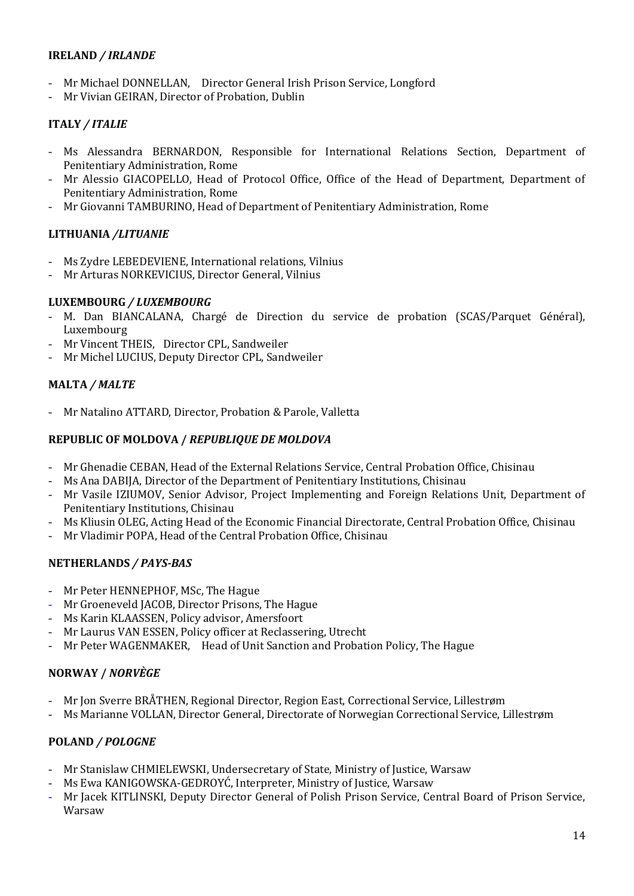## **IRELAND** */ IRLANDE*

- Mr Michael DONNELLAN, Director General Irish Prison Service, Longford
- Mr Vivian GEIRAN, Director of Probation, Dublin

## **ITALY** */ ITALIE*

- Ms Alessandra BERNARDON, Responsible for International Relations Section, Department of Penitentiary Administration, Rome
- Mr Alessio GIACOPELLO, Head of Protocol Office, Office of the Head of Department, Department of Penitentiary Administration, Rome
- Mr Giovanni TAMBURINO, Head of Department of Penitentiary Administration, Rome

## **LITHUANIA** */LITUANIE*

- Ms Zydre LEBEDEVIENE, International relations, Vilnius
- Mr Arturas NORKEVICIUS, Director General, Vilnius

#### **LUXEMBOURG** */ LUXEMBOURG*

- M. Dan BIANCALANA, Chargé de Direction du service de probation (SCAS/Parquet Général), Luxembourg
- Mr Vincent THEIS, Director CPL, Sandweiler
- Mr Michel LUCIUS, Deputy Director CPL, Sandweiler

#### **MALTA** */ MALTE*

- Mr Natalino ATTARD, Director, Probation & Parole, Valletta

#### **REPUBLIC OF MOLDOVA /** *[REPUBLIQUE DE MOLDOVA](http://intranet.coe.int/jahia/Jahia/lang/en/Accueil/Protocol/Diplomatic_missions_and_Protocol_Lists/Diplomatic_Missions_#Moldova)*

- Mr Ghenadie CEBAN, Head of the External Relations Service, Central Probation Office, Chisinau
- Ms Ana DABIJA, Director of the Department of Penitentiary Institutions, Chisinau
- Mr Vasile IZIUMOV, Senior Advisor, Project Implementing and Foreign Relations Unit, Department of Penitentiary Institutions, Chisinau
- Ms Kliusin OLEG, Acting Head of the Economic Financial Directorate, Central Probation Office, Chisinau
- Mr Vladimir POPA, Head of the Central Probation Office, Chisinau

#### **NETHERLANDS** */ PAYS-BAS*

- Mr Peter HENNEPHOF, MSc, The Hague
- Mr Groeneveld JACOB, Director Prisons, The Hague
- Ms Karin KLAASSEN, Policy advisor, Amersfoort
- Mr Laurus VAN ESSEN, Policy officer at Reclassering, Utrecht
- Mr Peter WAGENMAKER, Head of Unit Sanction and Probation Policy, The Hague

#### **NORWAY /** *NORVÈGE*

- Mr Jon Sverre BRÅTHEN, Regional Director, Region East, Correctional Service, Lillestrøm
- Ms Marianne VOLLAN, Director General, Directorate of Norwegian Correctional Service, Lillestrøm

#### **POLAND** */ POLOGNE*

- Mr Stanislaw CHMIELEWSKI, Undersecretary of State, Ministry of Justice, Warsaw
- Ms Ewa KANIGOWSKA-GEDROYĆ, Interpreter, Ministry of Justice, Warsaw
- Mr Jacek KITLINSKI, Deputy Director General of Polish Prison Service, Central Board of Prison Service, Warsaw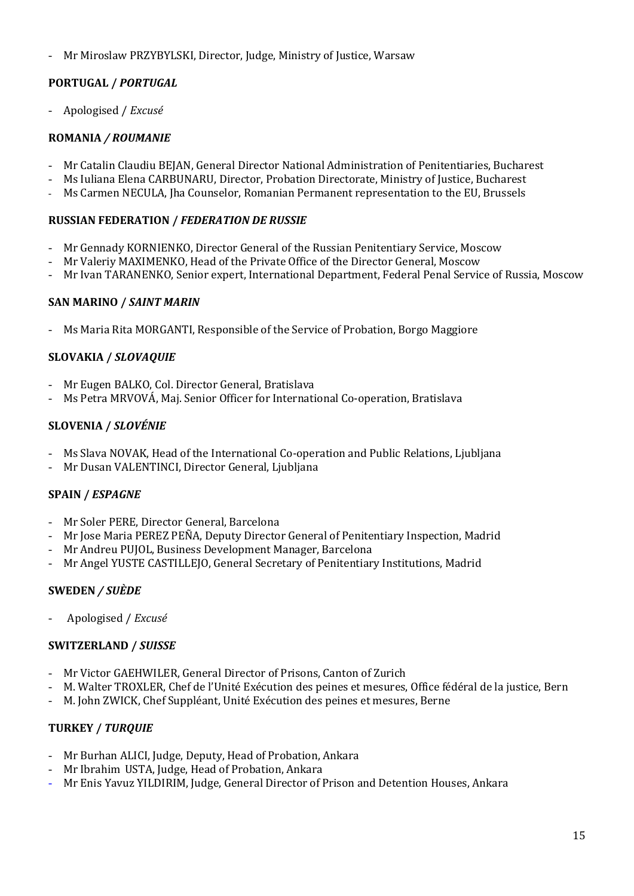- Mr Miroslaw PRZYBYLSKI, Director, Judge, Ministry of Justice, Warsaw

## **PORTUGAL /** *PORTUGAL*

- Apologised / *Excusé*

## **ROMANIA** */ ROUMANIE*

- Mr Catalin Claudiu BEJAN, General Director National Administration of Penitentiaries, Bucharest
- Ms Iuliana Elena CARBUNARU, Director, Probation Directorate, Ministry of Justice, Bucharest
- Ms Carmen NECULA, Jha Counselor, Romanian Permanent representation to the EU, Brussels

## **RUSSIAN FEDERATION /** *FEDERATION DE RUSSIE*

- Mr Gennady KORNIENKO, Director General of the Russian Penitentiary Service, Moscow
- Mr Valeriy MAXIMENKO, Head of the Private Office of the Director General, Moscow
- Mr Ivan TARANENKO, Senior expert, International Department, Federal Penal Service of Russia, Moscow

## **SAN MARINO /** *SAINT MARIN*

- Ms Maria Rita MORGANTI, Responsible of the Service of Probation, Borgo Maggiore

## **SLOVAKIA /** *SLOVAQUIE*

- Mr Eugen BALKO, Col. Director General, Bratislava
- Ms Petra MRVOVÁ, Maj. Senior Officer for International Co-operation, Bratislava

## **SLOVENIA /** *SLOVÉNIE*

- Ms Slava NOVAK, Head of the International Co-operation and Public Relations, Ljubljana
- Mr Dusan VALENTINCI, Director General, Ljubljana

## **SPAIN /** *ESPAGNE*

- Mr Soler PERE, Director General, Barcelona
- Mr Jose Maria PEREZ PEÑA, Deputy Director General of Penitentiary Inspection, Madrid
- Mr Andreu PUJOL, Business Development Manager, Barcelona
- Mr Angel YUSTE CASTILLEJO, General Secretary of Penitentiary Institutions, Madrid

## **SWEDEN** */ SUÈDE*

- Apologised / *Excusé*

## **SWITZERLAND /** *SUISSE*

- Mr Victor GAEHWILER, General Director of Prisons, Canton of Zurich
- M. Walter TROXLER, Chef de l'Unité Exécution des peines et mesures, Office fédéral de la justice, Bern
- M. John ZWICK, Chef Suppléant, Unité Exécution des peines et mesures, Berne

## **TURKEY /** *TURQUIE*

- Mr Burhan ALICI, Judge, Deputy, Head of Probation, Ankara
- Mr Ibrahim USTA, Judge, Head of Probation, Ankara
- Mr Enis Yavuz YILDIRIM, Judge, General Director of Prison and Detention Houses, Ankara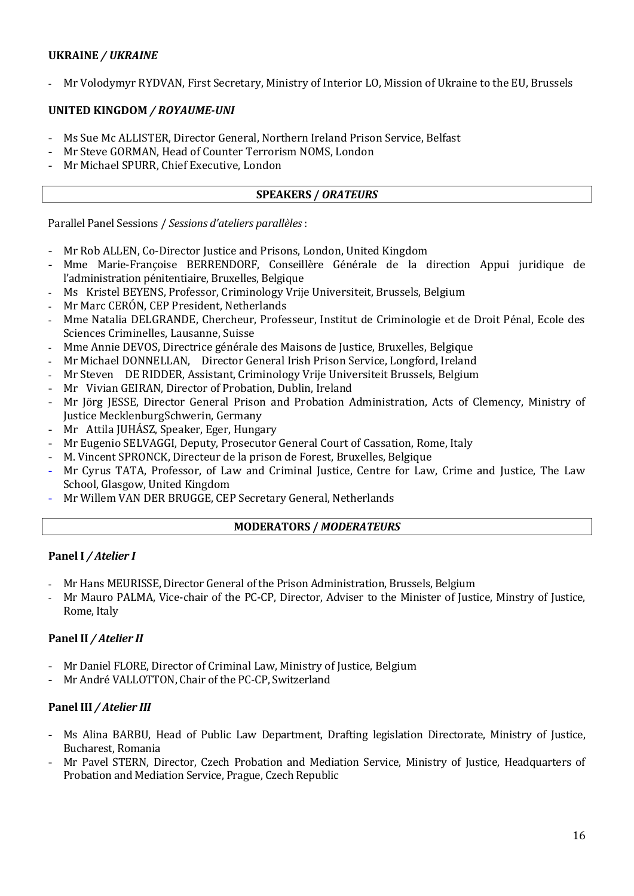## **UKRAINE** */ UKRAINE*

- Mr Volodymyr RYDVAN, First Secretary, Ministry of Interior LO, Mission of Ukraine to the EU, Brussels

## **UNITED KINGDOM** */ ROYAUME-UNI*

- Ms Sue Mc ALLISTER, Director General, Northern Ireland Prison Service, Belfast
- Mr Steve GORMAN, Head of Counter Terrorism NOMS, London
- Mr Michael SPURR, Chief Executive, London

#### **SPEAKERS /** *ORATEURS*

Parallel Panel Sessions / *Sessions d'ateliers parallèles* :

- Mr Rob ALLEN, Co-Director Justice and Prisons, London, United Kingdom
- Mme Marie-Françoise BERRENDORF, Conseillère Générale de la direction Appui juridique de l'administration pénitentiaire, Bruxelles, Belgique
- Ms Kristel BEYENS, Professor, Criminology Vrije Universiteit, Brussels, Belgium
- Mr Marc CERÓN, CEP President, Netherlands
- Mme Natalia DELGRANDE, Chercheur, Professeur, Institut de Criminologie et de Droit Pénal, Ecole des Sciences Criminelles, Lausanne, Suisse
- Mme Annie DEVOS, Directrice générale des Maisons de Justice, Bruxelles, Belgique
- Mr Michael DONNELLAN, Director General Irish Prison Service, Longford, Ireland
- Mr Steven DE RIDDER, Assistant, Criminology Vrije Universiteit Brussels, Belgium
- Mr Vivian GEIRAN, Director of Probation, Dublin, Ireland
- Mr Jörg JESSE, Director General Prison and Probation Administration, Acts of Clemency, Ministry of Justice MecklenburgSchwerin, Germany
- Mr Attila JUHÁSZ, Speaker, Eger, Hungary
- Mr Eugenio SELVAGGI, Deputy, Prosecutor General Court of Cassation, Rome, Italy
- M. Vincent SPRONCK, Directeur de la prison de Forest, Bruxelles, Belgique
- Mr Cyrus TATA, Professor, of Law and Criminal Justice, Centre for Law, Crime and Justice, The Law School, Glasgow, United Kingdom
- Mr Willem VAN DER BRUGGE, CEP Secretary General, Netherlands

#### **MODERATORS /** *MODERATEURS*

#### **Panel I** */ Atelier I*

- Mr Hans MEURISSE, Director General of the Prison Administration, Brussels, Belgium
- Mr Mauro PALMA, Vice-chair of the PC-CP, Director, Adviser to the Minister of Justice, Minstry of Justice, Rome, Italy

#### **Panel II** */ Atelier II*

- Mr Daniel FLORE, Director of Criminal Law, Ministry of Justice, Belgium
- Mr André VALLOTTON, Chair of the PC-CP, Switzerland

#### **Panel III** */ Atelier III*

- Ms Alina BARBU, Head of Public Law Department, Drafting legislation Directorate, Ministry of Justice, Bucharest, Romania
- Mr Pavel STERN, Director, Czech Probation and Mediation Service, Ministry of Justice, Headquarters of Probation and Mediation Service, Prague, Czech Republic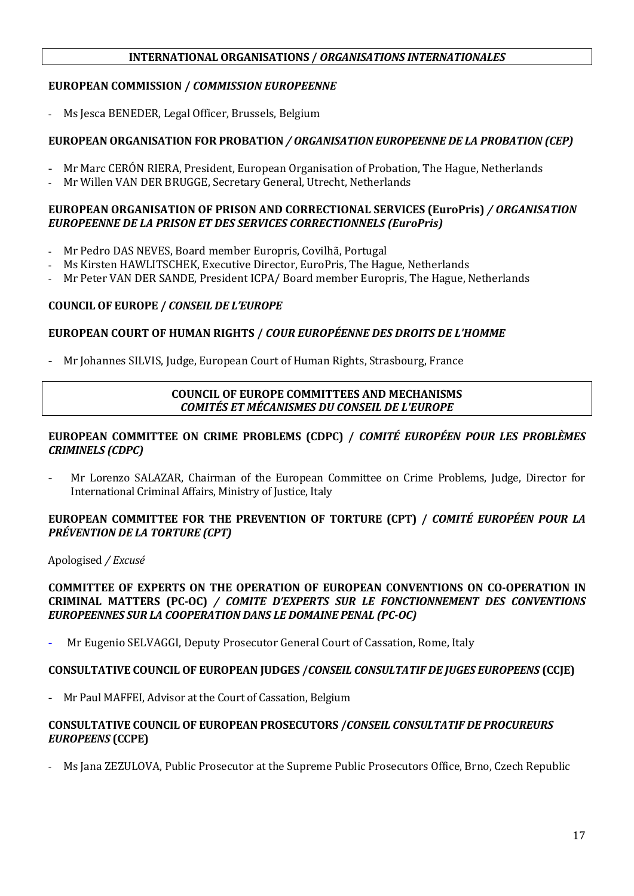#### **INTERNATIONAL ORGANISATIONS /** *ORGANISATIONS INTERNATIONALES*

#### **EUROPEAN COMMISSION /** *COMMISSION EUROPEENNE*

- Ms Jesca BENEDER, Legal Officer, Brussels, Belgium

#### **EUROPEAN ORGANISATION FOR PROBATION** */ ORGANISATION EUROPEENNE DE LA PROBATION (CEP)*

- Mr Marc CERÓN RIERA, President, European Organisation of Probation, The Hague, Netherlands
- Mr Willen VAN DER BRUGGE, Secretary General, Utrecht, Netherlands

#### **EUROPEAN ORGANISATION OF PRISON AND CORRECTIONAL SERVICES (EuroPris)** */ ORGANISATION EUROPEENNE DE LA PRISON ET DES SERVICES CORRECTIONNELS (EuroPris)*

- Mr Pedro DAS NEVES, Board member Europris, Covilhã, Portugal
- Ms Kirsten HAWLITSCHEK, Executive Director, EuroPris, The Hague, Netherlands
- Mr Peter VAN DER SANDE, President ICPA/Board member Europris, The Hague, Netherlands

#### **COUNCIL OF EUROPE /** *CONSEIL DE L'EUROPE*

#### **EUROPEAN COURT OF HUMAN RIGHTS /** *COUR EUROPÉENNE DES DROITS DE L'HOMME*

- Mr Johannes SILVIS, Judge, European Court of Human Rights, Strasbourg, France

#### **COUNCIL OF EUROPE COMMITTEES AND MECHANISMS** *COMITÉS ET MÉCANISMES DU CONSEIL DE L'EUROPE*

#### **EUROPEAN COMMITTEE ON CRIME PROBLEMS (CDPC) /** *COMITÉ EUROPÉEN POUR LES PROBLÈMES CRIMINELS (CDPC)*

- Mr Lorenzo SALAZAR, Chairman of the European Committee on Crime Problems, Judge, Director for International Criminal Affairs, Ministry of Justice, Italy

#### **EUROPEAN COMMITTEE FOR THE PREVENTION OF TORTURE (CPT) /** *COMITÉ EUROPÉEN POUR LA PRÉVENTION DE LA TORTURE (CPT)*

Apologised */ Excusé*

#### **COMMITTEE OF EXPERTS ON THE OPERATION OF EUROPEAN CONVENTIONS ON CO-OPERATION IN CRIMINAL MATTERS (PC-OC)** */ COMITE D'EXPERTS SUR LE FONCTIONNEMENT DES CONVENTIONS EUROPEENNES SUR LA COOPERATION DANS LE DOMAINE PENAL (PC-OC)*

- Mr Eugenio SELVAGGI, Deputy Prosecutor General Court of Cassation, Rome, Italy

#### **CONSULTATIVE COUNCIL OF EUROPEAN JUDGES /***CONSEIL CONSULTATIF DE JUGES EUROPEENS* **(CCJE)**

Mr Paul MAFFEI, Advisor at the Court of Cassation, Belgium

#### **CONSULTATIVE COUNCIL OF EUROPEAN PROSECUTORS /***CONSEIL CONSULTATIF DE PROCUREURS EUROPEENS* **(CCPE)**

Ms Jana ZEZULOVA, Public Prosecutor at the Supreme Public Prosecutors Office, Brno, Czech Republic